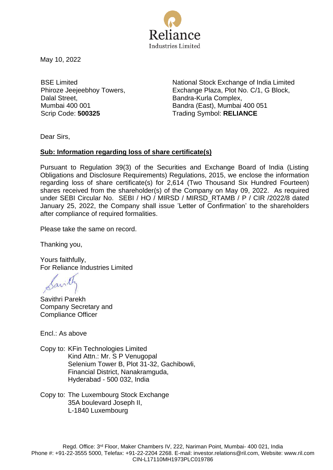

May 10, 2022

BSE Limited Phiroze Jeejeebhoy Towers, Dalal Street, Mumbai 400 001

National Stock Exchange of India Limited Exchange Plaza, Plot No. C/1, G Block, Bandra-Kurla Complex, Bandra (East), Mumbai 400 051 Scrip Code: **500325** Trading Symbol: **RELIANCE**

Dear Sirs,

## **Sub: Information regarding loss of share certificate(s)**

Pursuant to Regulation 39(3) of the Securities and Exchange Board of India (Listing Obligations and Disclosure Requirements) Regulations, 2015, we enclose the information regarding loss of share certificate(s) for 2,614 (Two Thousand Six Hundred Fourteen) shares received from the shareholder(s) of the Company on May 09, 2022. As required under SEBI Circular No. SEBI / HO / MIRSD / MIRSD\_RTAMB / P / CIR /2022/8 dated January 25, 2022, the Company shall issue 'Letter of Confirmation' to the shareholders after compliance of required formalities.

Please take the same on record.

Thanking you,

Yours faithfully, For Reliance Industries Limited

avill

Savithri Parekh Company Secretary and Compliance Officer

Encl.: As above

Copy to: KFin Technologies Limited Kind Attn.: Mr. S P Venugopal Selenium Tower B, Plot 31-32, Gachibowli, Financial District, Nanakramguda, Hyderabad - 500 032, India

Copy to: The Luxembourg Stock Exchange 35A boulevard Joseph II, L-1840 Luxembourg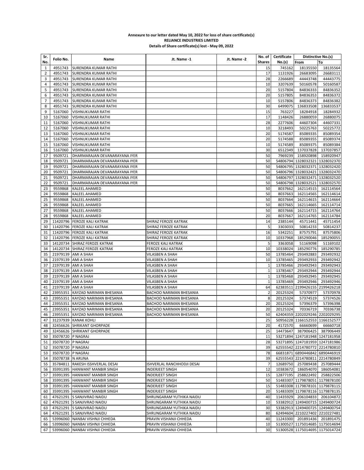## **Annexure to our letter dated May 10, 2022 for loss of share certificate(s) RELIANCE INDUSTRIES LIMITED Details of Share certificate(s) lost - May 09, 2022**

| Sr.             |                      |                                     |                            |             |                 | No. of Certificate | Distinctive No.(s)             |           |
|-----------------|----------------------|-------------------------------------|----------------------------|-------------|-----------------|--------------------|--------------------------------|-----------|
| No.             | Folio No.            | Name                                | Jt. Name -1                | Jt. Name -2 | <b>Shares</b>   | No.(s)             | From                           | To        |
| 1               | 4951743              | <b>SURENDRA KUMAR RATHI</b>         |                            |             | 15              | 745162             | 18135550                       | 18135564  |
| 2               | 4951743              | <b>SURENDRA KUMAR RATHI</b>         |                            |             | 17              | 1131926            | 26683095                       | 26683111  |
| 3               | 4951743              | SURENDRA KUMAR RATHI                |                            |             | 28              | 2266689            | 44443748                       | 44443775  |
| 4               | 4951743              | <b>SURENDRA KUMAR RATHI</b>         |                            |             | 10              | 3207639            | 50160578                       | 50160587  |
| 5               | 4951743              | <b>SURENDRA KUMAR RATHI</b>         |                            |             | 20              | 5157804            | 84836333                       | 84836352  |
| 6               | 4951743              | <b>SURENDRA KUMAR RATHI</b>         |                            |             | 20              | 5157805            |                                |           |
| $\overline{7}$  |                      |                                     |                            |             |                 |                    | 84836353                       | 84836372  |
|                 | 4951743              | SURENDRA KUMAR RATHI                |                            |             | 10              | 5157806            | 84836373                       | 84836382  |
| 8               | 4951743              | SURENDRA KUMAR RATHI                |                            |             | 30              | 6499075            | 136833508                      | 136833537 |
| 9               | 5167060              | <b>VISHNUKUMAR RATHI</b>            |                            |             | 15              | 763227             | 18284918                       | 18284932  |
| 10              | 5167060              | <b>VISHNUKUMAR RATHI</b>            |                            |             | 17              | 1148426            | 26880059                       | 26880075  |
| 11              | 5167060              | <b>VISHNUKUMAR RATHI</b>            |                            |             | 28              | 2277606            | 44607304                       | 44607331  |
| 12              | 5167060              | <b>VISHNUKUMAR RATHI</b>            |                            |             | 10              | 3218493            | 50225763                       | 50225772  |
| 13              | 5167060              | <b>VISHNUKUMAR RATHI</b>            |                            |             | 20              | 5174587            | 85089335                       | 85089354  |
| 14              | 5167060              | <b>VISHNUKUMAR RATHI</b>            |                            |             | 20              | 5174588            | 85089355                       | 85089374  |
| 15              | 5167060              | <b>VISHNUKUMAR RATHI</b>            |                            |             | 10              | 5174589            | 85089375                       | 85089384  |
| 16              | 5167060              | <b>VISHNUKUMAR RATHI</b>            |                            |             | 30              | 6512349            | 137037828                      | 137037857 |
| 17              | 9509721              | DHARMARAJAN DEVANARAYANA IYER       |                            |             | 50              | 7969239            | 158920898                      | 158920947 |
| 18              | 9509721              | DHARMARAJAN DEVANARAYANA IYER       |                            |             | 50              |                    | 54806794 1328032321 1328032370 |           |
| 19              | 9509721              | DHARMARAJAN DEVANARAYANA IYER       |                            |             | 50              |                    | 54806795 1328032371 1328032420 |           |
|                 |                      |                                     |                            |             |                 |                    |                                |           |
| 20              | 9509721              | DHARMARAJAN DEVANARAYANA IYER       |                            |             | 50              |                    | 54806796 1328032421 1328032470 |           |
| 21              | 9509721              | DHARMARAJAN DEVANARAYANA IYER       |                            |             | 50              |                    | 54806797 1328032471 1328032520 |           |
| 22              | 9509721              | DHARMARAJAN DEVANARAYANA IYER       |                            |             | 50              |                    | 54806798 1328032521 1328032570 |           |
| 23              | 9559868              | <b>KALEEL AHAMED</b>                |                            |             | 50              | 8037662            | 162114515                      | 162114564 |
| 24              | 9559868              | <b>KALEEL AHAMED</b>                |                            |             | 50              | 8037663            | 162114565                      | 162114614 |
| 25              | 9559868              | <b>KALEEL AHAMED</b>                |                            |             | 50              | 8037664            | 162114615                      | 162114664 |
| 26              | 9559868              | <b>KALEEL AHAMED</b>                |                            |             | 50              | 8037665            | 162114665                      | 162114714 |
| 27              | 9559868              | <b>KALEEL AHAMED</b>                |                            |             | 50              | 8037666            | 162114715                      | 162114764 |
| 28              | 9559868              | <b>KALEEL AHAMED</b>                |                            |             | 20              | 8037667            | 162114765                      | 162114784 |
| 29              |                      | 11420796 FEROZE KALI KATRAK         | SHIRAZ FEROZE KATRAK       |             | 14              | 2385144            | 45711441                       | 45711454  |
| 30              |                      | 11420796 FEROZE KALI KATRAK         | SHIRAZ FEROZE KATRAK       |             | 5               | 3303033            | 50814233                       | 50814237  |
| 31              |                      | 11420796 FEROZE KALI KATRAK         | SHIRAZ FEROZE KATRAK       |             | 16              | 5342251            | 87575791                       | 87575806  |
| 32              |                      | 11420796 FEROZE KALI KATRAK         | SHIRAZ FEROZE KATRAK       |             | 10              | 10337968           | 185290046                      | 185290055 |
| 33              |                      | 14120734 SHIRAZ FEROZE KATRAK       | FEROZE KALI KATRAK         |             | 5               | 3363058            | 51169098                       | 51169102  |
|                 |                      |                                     |                            |             |                 |                    |                                |           |
| 34              |                      | 14120734 SHIRAZ FEROZE KATRAK       | FEROZE KALI KATRAK         |             | 10              | 10338024           | 185290776                      | 185290785 |
| 35              |                      | 21979139 AMI A SHAH                 | VILASBEN A SHAH            |             | 50              | 13785464           | 293492883                      | 293492932 |
| 36              |                      | 21979139 AMI A SHAH                 | VILASBEN A SHAH            |             | 10              | 13785465           | 293492933                      | 293492942 |
| 37              |                      | 21979139 AMI A SHAH                 | VILASBEN A SHAH            |             | $\mathbf{1}$    | 13785466           | 293492943                      | 293492943 |
| 38              |                      | 21979139 AMI A SHAH                 | VILASBEN A SHAH            |             | $\mathbf{1}$    | 13785467           | 293492944                      | 293492944 |
| 39              |                      | 21979139 AMI A SHAH                 | VILASBEN A SHAH            |             | $\mathbf{1}$    | 13785468           | 293492945                      | 293492945 |
| 40              |                      | 21979139 AMI A SHAH                 | VILASBEN A SHAH            |             | $\mathbf{1}$    | 13785469           | 293492946                      | 293492946 |
| 41              |                      | 21979139 AMI A SHAH                 | VILASBEN A SHAH            |             | 64              |                    | 62383511 2199426155 2199426218 |           |
| 42              |                      | 23955351 KAYZAD NARIMAN BHESANIA    | BACHOO NARIMAN BHESANIA    |             | $\overline{2}$  | 20125324           | 57370977                       | 57370978  |
| 43              |                      | 23955351 KAYZAD NARIMAN BHESANIA    | BACHOO NARIMAN BHESANIA    |             | 8               | 20125324           | 57374519                       | 57374526  |
| 44              |                      | 23955351 KAYZAD NARIMAN BHESANIA    | BACHOO NARIMAN BHESANIA    |             | 20              | 20125324           | 57396379                       | 57396398  |
| 45              |                      | 23955351 KAYZAD NARIMAN BHESANIA    | BACHOO NARIMAN BHESANIA    |             | 20              | 20125324           | 70336719                       | 70336738  |
| 46              |                      | 23955351 KAYZAD NARIMAN BHESANIA    | BACHOO NARIMAN BHESANIA    |             | 50              |                    | 62404359 2202029246 2202029295 |           |
|                 |                      | 47 31237939 KANAK KOHLI             |                            |             | 25              |                    | 50956228 1166152553 1166152577 |           |
|                 |                      | 48 32456626 SHRIKANT GHORPADE       |                            |             | 20              | 4172570            | 66660699                       | 66660718  |
|                 |                      | 49 32456626 SHRIKANT GHORPADE       |                            |             | 25              | 14473647           | 387906425                      | 387906449 |
| 50 <sub>1</sub> | 35078720 P NAGRAJ    |                                     |                            |             | 11              |                    | 53271894 1247181948 1247181958 |           |
|                 | 35078720 P NAGRAJ    |                                     |                            |             |                 |                    | 53271895 1247181959 1247181986 |           |
| $51 \mid$       | 35078720 P NAGRAJ    |                                     |                            |             | 28              |                    |                                |           |
| 52              |                      |                                     |                            |             | 39              |                    | 62555542 2214780772 2214780810 |           |
|                 | 53 35078720 P NAGRAJ |                                     |                            |             | 78              |                    | 66831871 6890446842 6890446919 |           |
| 54 l            | 35078738 N ARUNA     |                                     |                            |             | 39              |                    | 62555543 2214780811 2214780849 |           |
|                 |                      | 55 35784811 RAKESH ISSHVERLAL DESAI | ISHVERLAL RANCHHODJI DESAI |             | $7\overline{ }$ | 12689750           | 257089438                      | 257089444 |
|                 |                      | 56 35991395 HANWANT MANBIR SINGH    | INDERJEET SINGH            |             | 12              | 10383672           | 186054070                      | 186054081 |
| 57              |                      | 35991395 HANWANT MANBIR SINGH       | INDERJEET SINGH            |             | 15 <sub>l</sub> | 12877195           | 258822492                      | 258822506 |
| 58              |                      | 35991395 HANWANT MANBIR SINGH       | INDERJEET SINGH            |             | 50              |                    | 51483307 1179878051 1179878100 |           |
| 59              |                      | 35991395 HANWANT MANBIR SINGH       | <b>INDERJEET SINGH</b>     |             | 15 <sub>l</sub> |                    | 51483308 1179878101 1179878115 |           |
| 60              |                      | 35991395 HANWANT MANBIR SINGH       | <b>INDERJEET SINGH</b>     |             | 20              |                    | 51483309 1179878116 1179878135 |           |
| 61              |                      | 47621291 S SANJIVRAO NAIDU          | SHRUNGARAM YUTHIKA NAIDU   |             | 40              |                    | 11435929 206104833             | 206104872 |
| 62              |                      | 47621291 S SANJIVRAO NAIDU          | SHRUNGARAM YUTHIKA NAIDU   |             | 10              |                    | 53382912 1249400715 1249400724 |           |
| 63              |                      | 47621291 S SANJIVRAO NAIDU          | SHRUNGARAM YUTHIKA NAIDU   |             | 30              |                    | 53382913 1249400725 1249400754 |           |
| 64              |                      | 47621291 S SANJIVRAO NAIDU          | SHRUNGARAM YUTHIKA NAIDU   |             | 80              |                    | 62494604 2210227402 2210227481 |           |
|                 |                      | 65   53996060 NANBAI VISHNJI CHHEDA | PRAVIN VISHANJI CHHEDA     |             | 40              |                    | 11243300 201891436             | 201891475 |
|                 |                      | 66   53996060 NANBAI VISHNJI CHHEDA | PRAVIN VISHANJI CHHEDA     |             | 10 <sup>1</sup> |                    | 51300527 1175014685 1175014694 |           |
|                 |                      | 67   53996060 NANBAI VISHNJI CHHEDA | PRAVIN VISHANJI CHHEDA     |             | 30              |                    | 51300528 1175014695 1175014724 |           |
|                 |                      |                                     |                            |             |                 |                    |                                |           |